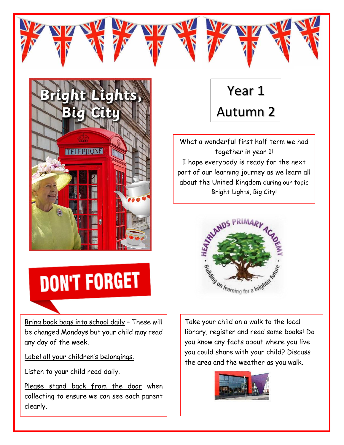

Year 1 Autumn 2

What a wonderful first half term we had together in year 1! I hope everybody is ready for the next part of our learning journey as we learn all about the United Kingdom during our topic Bright Lights, Big City!



**DON'T FORGET** 

Bring book bags into school daily – These will be changed Mondays but your child may read any day of the week.

Label all your children's belongings.

Listen to your child read daily.

Please stand back from the door when collecting to ensure we can see each parent clearly.

Take your child on a walk to the local library, register and read some books! Do you know any facts about where you live you could share with your child? Discuss the area and the weather as you walk.